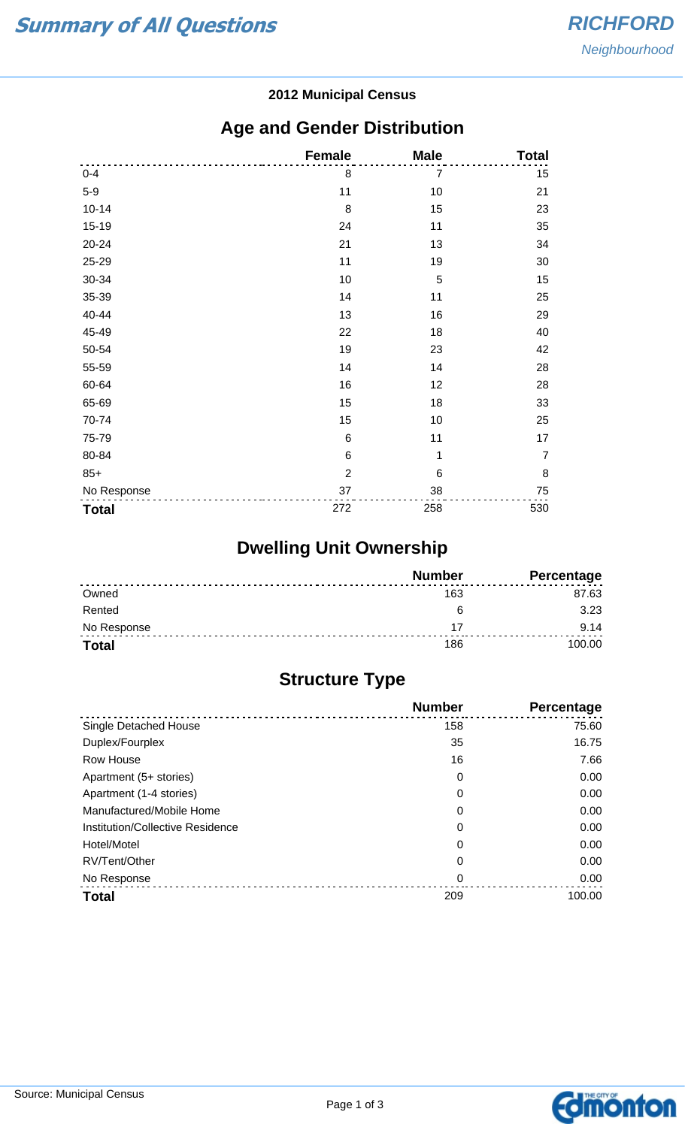#### **2012 Municipal Census**

## **Age and Gender Distribution**

|              | <b>Female</b>   | <b>Male</b> | <b>Total</b>   |
|--------------|-----------------|-------------|----------------|
| $0 - 4$      | 8               | 7           | 15             |
| $5-9$        | 11              | 10          | 21             |
| $10 - 14$    | 8               | 15          | 23             |
| 15-19        | 24              | 11          | 35             |
| 20-24        | 21              | 13          | 34             |
| 25-29        | 11              | 19          | 30             |
| 30-34        | 10              | 5           | 15             |
| 35-39        | 14              | 11          | 25             |
| 40-44        | 13              | 16          | 29             |
| 45-49        | 22              | 18          | 40             |
| 50-54        | 19              | 23          | 42             |
| 55-59        | 14              | 14          | 28             |
| 60-64        | 16              | 12          | 28             |
| 65-69        | 15              | 18          | 33             |
| 70-74        | 15              | 10          | 25             |
| 75-79        | $6\phantom{1}6$ | 11          | 17             |
| 80-84        | $\,6$           | 1           | $\overline{7}$ |
| $85+$        | $\overline{2}$  | 6           | 8              |
| No Response  | 37              | 38          | 75             |
| <b>Total</b> | 272             | 258         | 530            |

# **Dwelling Unit Ownership**

|              | <b>Number</b> | <b>Percentage</b> |
|--------------|---------------|-------------------|
| Owned        | 163           | 87.63             |
| Rented       | ี             | 3.23              |
| No Response  |               | 9.14              |
| <b>Total</b> | 186           | 100.00            |

## **Structure Type**

|                                  | <b>Number</b> | Percentage |
|----------------------------------|---------------|------------|
| Single Detached House            | 158           | 75.60      |
| Duplex/Fourplex                  | 35            | 16.75      |
| Row House                        | 16            | 7.66       |
| Apartment (5+ stories)           | 0             | 0.00       |
| Apartment (1-4 stories)          | 0             | 0.00       |
| Manufactured/Mobile Home         | 0             | 0.00       |
| Institution/Collective Residence | 0             | 0.00       |
| Hotel/Motel                      | 0             | 0.00       |
| RV/Tent/Other                    | 0             | 0.00       |
| No Response                      | 0             | 0.00       |
| <b>Total</b>                     | 209           | 100.00     |

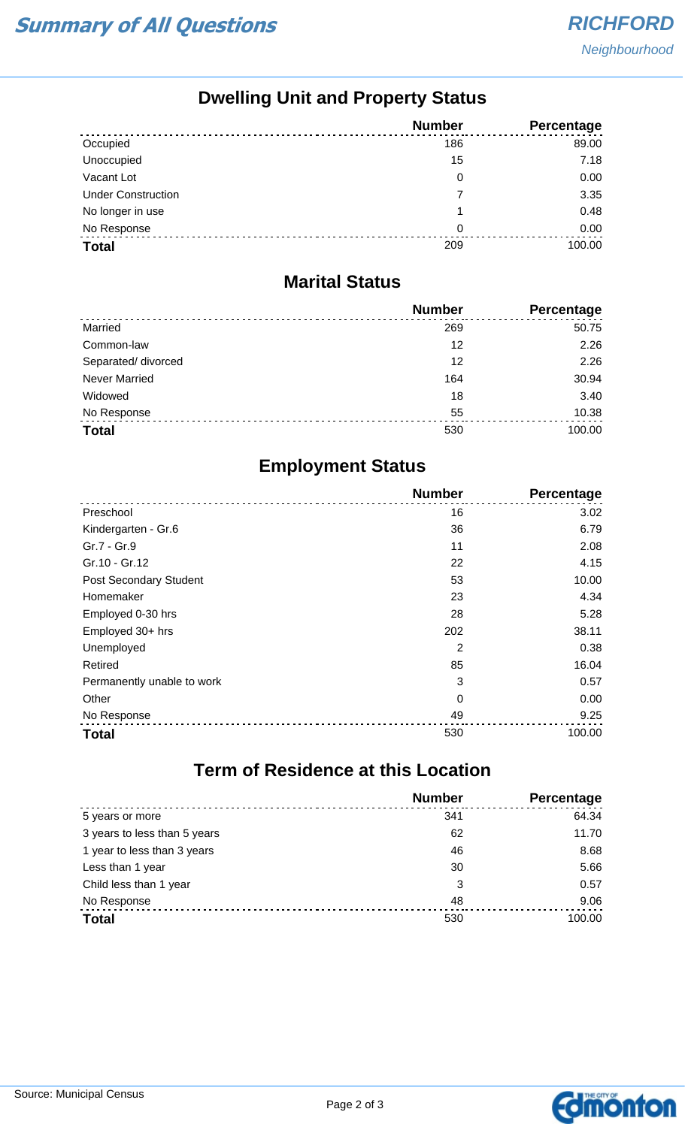## **Dwelling Unit and Property Status**

|                           | <b>Number</b> | Percentage |
|---------------------------|---------------|------------|
| Occupied                  | 186           | 89.00      |
| Unoccupied                | 15            | 7.18       |
| Vacant Lot                | 0             | 0.00       |
| <b>Under Construction</b> | 7             | 3.35       |
| No longer in use          | 1             | 0.48       |
| No Response               | 0             | 0.00       |
| <b>Total</b>              | 209           | 100.00     |

#### **Marital Status**

|                      | <b>Number</b> | Percentage |
|----------------------|---------------|------------|
| Married              | 269           | 50.75      |
| Common-law           | 12            | 2.26       |
| Separated/ divorced  | 12            | 2.26       |
| <b>Never Married</b> | 164           | 30.94      |
| Widowed              | 18            | 3.40       |
| No Response          | 55            | 10.38      |
| <b>Total</b>         | 530           | 100.00     |

## **Employment Status**

|                               | <b>Number</b> | Percentage |
|-------------------------------|---------------|------------|
| Preschool                     | 16            | 3.02       |
| Kindergarten - Gr.6           | 36            | 6.79       |
| Gr.7 - Gr.9                   | 11            | 2.08       |
| Gr.10 - Gr.12                 | 22            | 4.15       |
| <b>Post Secondary Student</b> | 53            | 10.00      |
| Homemaker                     | 23            | 4.34       |
| Employed 0-30 hrs             | 28            | 5.28       |
| Employed 30+ hrs              | 202           | 38.11      |
| Unemployed                    | 2             | 0.38       |
| Retired                       | 85            | 16.04      |
| Permanently unable to work    | 3             | 0.57       |
| Other                         | 0             | 0.00       |
| No Response                   | 49            | 9.25       |
| <b>Total</b>                  | 530           | 100.00     |

# **Term of Residence at this Location**

|                              | <b>Number</b> | Percentage |
|------------------------------|---------------|------------|
| 5 years or more              | 341           | 64.34      |
| 3 years to less than 5 years | 62            | 11.70      |
| 1 year to less than 3 years  | 46            | 8.68       |
| Less than 1 year             | 30            | 5.66       |
| Child less than 1 year       | 3             | 0.57       |
| No Response                  | 48            | 9.06       |
| <b>Total</b>                 | 530           | 100.00     |